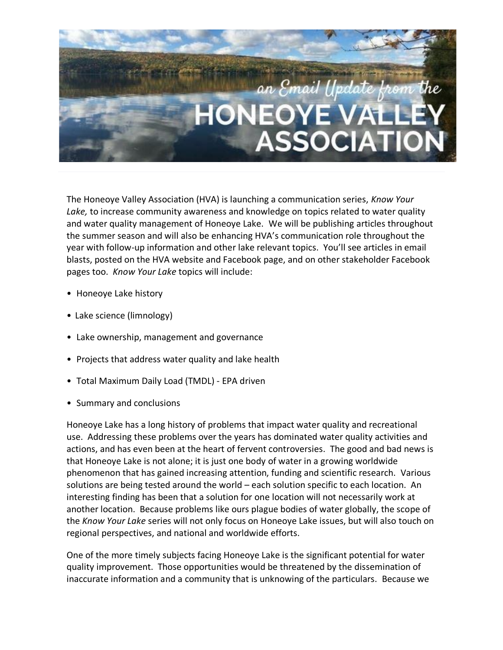

The Honeoye Valley Association (HVA) is launching a communication series, *Know Your Lake,* to increase community awareness and knowledge on topics related to water quality and water quality management of Honeoye Lake. We will be publishing articles throughout the summer season and will also be enhancing HVA's communication role throughout the year with follow-up information and other lake relevant topics. You'll see articles in email blasts, posted on the HVA website and Facebook page, and on other stakeholder Facebook pages too. *Know Your Lake* topics will include:

- Honeoye Lake history
- Lake science (limnology)
- Lake ownership, management and governance
- Projects that address water quality and lake health
- Total Maximum Daily Load (TMDL) EPA driven
- Summary and conclusions

Honeoye Lake has a long history of problems that impact water quality and recreational use. Addressing these problems over the years has dominated water quality activities and actions, and has even been at the heart of fervent controversies. The good and bad news is that Honeoye Lake is not alone; it is just one body of water in a growing worldwide phenomenon that has gained increasing attention, funding and scientific research. Various solutions are being tested around the world – each solution specific to each location. An interesting finding has been that a solution for one location will not necessarily work at another location. Because problems like ours plague bodies of water globally, the scope of the *Know Your Lake* series will not only focus on Honeoye Lake issues, but will also touch on regional perspectives, and national and worldwide efforts.

One of the more timely subjects facing Honeoye Lake is the significant potential for water quality improvement. Those opportunities would be threatened by the dissemination of inaccurate information and a community that is unknowing of the particulars. Because we